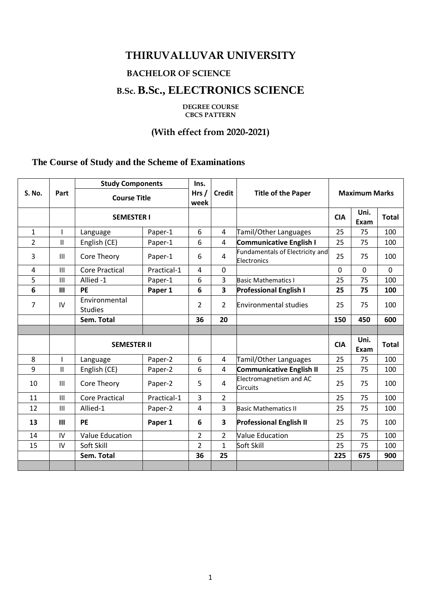# **THIRUVALLUVAR UNIVERSITY**

# **BACHELOR OF SCIENCE**

# **B.Sc. B.Sc., ELECTRONICS SCIENCE**

**DEGREE COURSE CBCS PATTERN** 

# **(With effect from 2020-2021)**

## **The Course of Study and the Scheme of Examinations**

| S. No.         | Part           | <b>Study Components</b>         |             | Ins.           |                |                                                | <b>Maximum Marks</b> |              |              |
|----------------|----------------|---------------------------------|-------------|----------------|----------------|------------------------------------------------|----------------------|--------------|--------------|
|                |                | <b>Course Title</b>             |             | Hrs/<br>week   | <b>Credit</b>  | <b>Title of the Paper</b>                      |                      |              |              |
|                |                | <b>SEMESTER I</b>               |             |                |                |                                                | <b>CIA</b>           | Uni.<br>Exam | <b>Total</b> |
| $\mathbf{1}$   | $\mathbf{I}$   | Language                        | Paper-1     | 6              | 4              | Tamil/Other Languages                          | 25                   | 75           | 100          |
| $\overline{2}$ | $\mathbf{H}$   | English (CE)                    | Paper-1     | 6              | 4              | <b>Communicative English I</b>                 | 25                   | 75           | 100          |
| 3              | $\mathbf{III}$ | Core Theory                     | Paper-1     | 6              | $\overline{4}$ | Fundamentals of Electricity and<br>Electronics | 25                   | 75           | 100          |
| 4              | III            | <b>Core Practical</b>           | Practical-1 | 4              | $\mathbf{0}$   |                                                | 0                    | $\Omega$     | $\Omega$     |
| 5              | III            | Allied -1                       | Paper-1     | 6              | 3              | <b>Basic Mathematics I</b>                     | 25                   | 75           | 100          |
| 6              | III            | <b>PE</b>                       | Paper 1     | 6              | 3              | <b>Professional English I</b>                  | 25                   | 75           | 100          |
| 7              | IV             | Environmental<br><b>Studies</b> |             | 2              | $\overline{2}$ | <b>Environmental studies</b>                   | 25                   | 75           | 100          |
|                |                | Sem. Total                      |             | 36             | 20             |                                                | 150                  | 450          | 600          |
|                |                |                                 |             |                |                |                                                |                      |              |              |
|                |                | <b>SEMESTER II</b>              |             |                |                |                                                | <b>CIA</b>           | Uni.<br>Exam | <b>Total</b> |
| 8              | $\mathbf{I}$   | Language                        | Paper-2     | 6              | 4              | Tamil/Other Languages                          | 25                   | 75           | 100          |
| 9              | $\mathsf{II}$  | English (CE)                    | Paper-2     | 6              | $\overline{4}$ | Communicative English II                       | 25                   | 75           | 100          |
| 10             | III            | Core Theory                     | Paper-2     | 5              | $\overline{4}$ | Electromagnetism and AC<br><b>Circuits</b>     | 25                   | 75           | 100          |
| 11             | $\mathbf{III}$ | <b>Core Practical</b>           | Practical-1 | 3              | $\overline{2}$ |                                                | 25                   | 75           | 100          |
| 12             | $\mathbf{III}$ | Allied-1                        | Paper-2     | 4              | 3              | <b>Basic Mathematics II</b>                    | 25                   | 75           | 100          |
| 13             | $\mathbf{III}$ | PE                              | Paper 1     | 6              | 3              | <b>Professional English II</b>                 | 25                   | 75           | 100          |
| 14             | IV             | <b>Value Education</b>          |             | $\overline{2}$ | $\overline{2}$ | <b>Value Education</b>                         | 25                   | 75           | 100          |
| 15             | IV             | Soft Skill                      |             | $\overline{2}$ | $\mathbf{1}$   | Soft Skill                                     | 25                   | 75           | 100          |
|                |                |                                 |             | 36             | 25             |                                                | 225                  |              | 900          |
|                |                | Sem. Total                      |             |                |                |                                                |                      | 675          |              |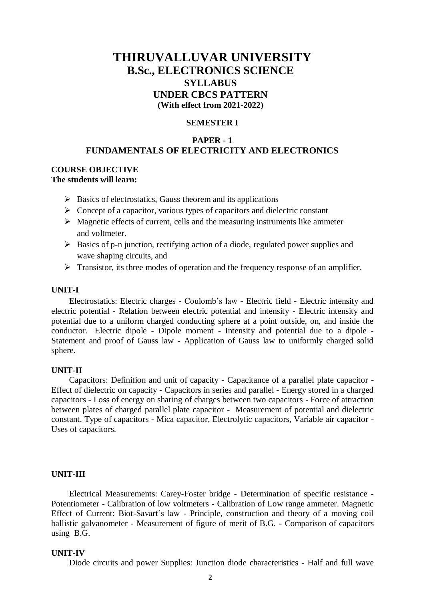# **THIRUVALLUVAR UNIVERSITY B.Sc., ELECTRONICS SCIENCE SYLLABUS UNDER CBCS PATTERN (With effect from 2021-2022)**

### **SEMESTER I**

## **PAPER - 1 FUNDAMENTALS OF ELECTRICITY AND ELECTRONICS**

### **COURSE OBJECTIVE The students will learn:**

- $\triangleright$  Basics of electrostatics, Gauss theorem and its applications
- $\triangleright$  Concept of a capacitor, various types of capacitors and dielectric constant
- $\triangleright$  Magnetic effects of current, cells and the measuring instruments like ammeter and voltmeter.
- $\triangleright$  Basics of p-n junction, rectifying action of a diode, regulated power supplies and wave shaping circuits, and
- $\triangleright$  Transistor, its three modes of operation and the frequency response of an amplifier.

### **UNIT-I**

Electrostatics: Electric charges - Coulomb's law - Electric field - Electric intensity and electric potential - Relation between electric potential and intensity - Electric intensity and potential due to a uniform charged conducting sphere at a point outside, on, and inside the conductor. Electric dipole - Dipole moment - Intensity and potential due to a dipole - Statement and proof of Gauss law - Application of Gauss law to uniformly charged solid sphere.

#### **UNIT-II**

Capacitors: Definition and unit of capacity - Capacitance of a parallel plate capacitor - Effect of dielectric on capacity - Capacitors in series and parallel - Energy stored in a charged capacitors - Loss of energy on sharing of charges between two capacitors - Force of attraction between plates of charged parallel plate capacitor - Measurement of potential and dielectric constant. Type of capacitors - Mica capacitor, Electrolytic capacitors, Variable air capacitor - Uses of capacitors.

#### **UNIT-III**

Electrical Measurements: Carey-Foster bridge - Determination of specific resistance - Potentiometer - Calibration of low voltmeters - Calibration of Low range ammeter. Magnetic Effect of Current: Biot-Savart's law - Principle, construction and theory of a moving coil ballistic galvanometer - Measurement of figure of merit of B.G. - Comparison of capacitors using B.G.

#### **UNIT-IV**

Diode circuits and power Supplies: Junction diode characteristics - Half and full wave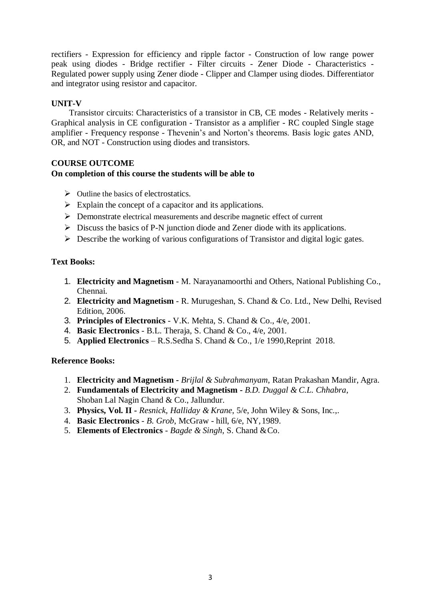rectifiers - Expression for efficiency and ripple factor - Construction of low range power peak using diodes - Bridge rectifier - Filter circuits - Zener Diode - Characteristics - Regulated power supply using Zener diode - Clipper and Clamper using diodes. Differentiator and integrator using resistor and capacitor.

## **UNIT-V**

Transistor circuits: Characteristics of a transistor in CB, CE modes - Relatively merits - Graphical analysis in CE configuration - Transistor as a amplifier - RC coupled Single stage amplifier - Frequency response - Thevenin's and Norton's theorems. Basis logic gates AND, OR, and NOT - Construction using diodes and transistors.

## **COURSE OUTCOME**

## **On completion of this course the students will be able to**

- $\triangleright$  Outline the basics of electrostatics.
- $\triangleright$  Explain the concept of a capacitor and its applications.
- Demonstrate electrical measurements and describe magnetic effect of current
- $\triangleright$  Discuss the basics of P-N junction diode and Zener diode with its applications.
- $\triangleright$  Describe the working of various configurations of Transistor and digital logic gates.

## **Text Books:**

- 1. **Electricity and Magnetism** M. Narayanamoorthi and Others, National Publishing Co., Chennai.
- 2. **Electricity and Magnetism** R. Murugeshan, S. Chand & Co. Ltd., New Delhi, Revised Edition, 2006.
- 3. **Principles of Electronics** V.K. Mehta, S. Chand & Co., 4/e, 2001.
- 4. **Basic Electronics** B.L. Theraja, S. Chand & Co., 4/e, 2001.
- 5. **Applied Electronics** R.S.Sedha S. Chand & Co., 1/e 1990,Reprint 2018.

- 1. **Electricity and Magnetism -** *Brijlal & Subrahmanyam*, Ratan Prakashan Mandir, Agra.
- 2. **Fundamentals of Electricity and Magnetism -** *B.D. Duggal & C.L. Chhabra*, Shoban Lal Nagin Chand & Co., Jallundur.
- 3. **Physics, Vol. II -** *Resnick, Halliday & Krane*, 5/e, John Wiley & Sons, Inc.,.
- 4. **Basic Electronics**  *B. Grob*, McGraw hill, 6/e, NY,1989.
- 5. **Elements of Electronics**  *Bagde & Singh*, S. Chand &Co.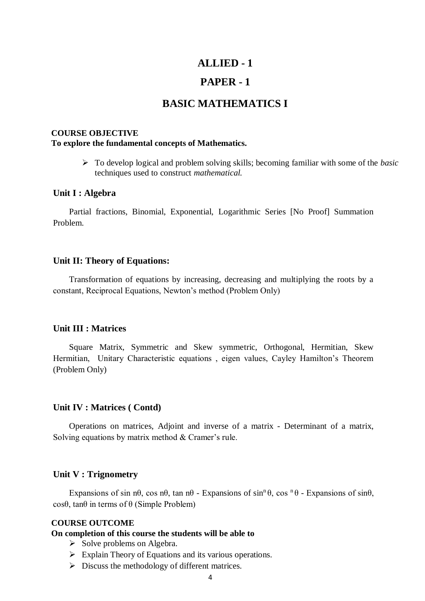## **ALLIED - 1**

## **PAPER - 1**

# **BASIC MATHEMATICS I**

## **COURSE OBJECTIVE**

## **To explore the fundamental concepts of Mathematics.**

 To develop logical and problem solving skills; becoming familiar with some of the *basic*  techniques used to construct *mathematical.*

## **Unit I : Algebra**

Partial fractions, Binomial, Exponential, Logarithmic Series [No Proof] Summation Problem.

## **Unit II: Theory of Equations:**

Transformation of equations by increasing, decreasing and multiplying the roots by a constant, Reciprocal Equations, Newton's method (Problem Only)

## **Unit III : Matrices**

Square Matrix, Symmetric and Skew symmetric, Orthogonal, Hermitian, Skew Hermitian, Unitary Characteristic equations , eigen values, Cayley Hamilton's Theorem (Problem Only)

#### **Unit IV : Matrices ( Contd)**

Operations on matrices, Adjoint and inverse of a matrix - Determinant of a matrix, Solving equations by matrix method & Cramer's rule.

### **Unit V : Trignometry**

Expansions of sin n $\theta$ , cos n $\theta$ , tan n $\theta$  - Expansions of sin<sup>n</sup> $\theta$ , cos <sup>n</sup> $\theta$  - Expansions of sin $\theta$ , cosθ, tanθ in terms of θ (Simple Problem)

#### **COURSE OUTCOME**

#### **On completion of this course the students will be able to**

- $\triangleright$  Solve problems on Algebra.
- $\triangleright$  Explain Theory of Equations and its various operations.
- $\triangleright$  Discuss the methodology of different matrices.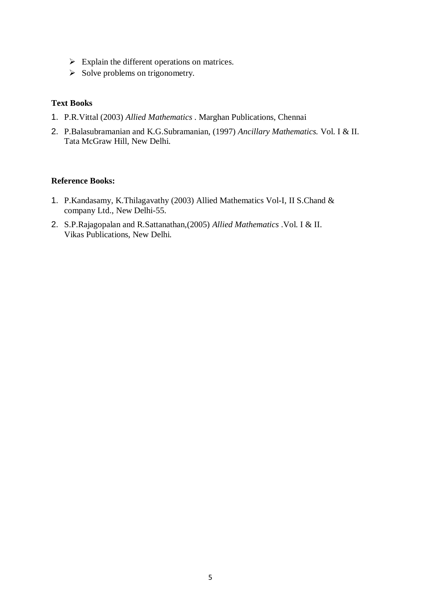- $\triangleright$  Explain the different operations on matrices.
- $\triangleright$  Solve problems on trigonometry.

## **Text Books**

- 1. P.R.Vittal (2003) *Allied Mathematics* . Marghan Publications, Chennai
- 2. P.Balasubramanian and K.G.Subramanian, (1997) *Ancillary Mathematics.* Vol. I & II. Tata McGraw Hill, New Delhi.

- 1. P.Kandasamy, K.Thilagavathy (2003) Allied Mathematics Vol-I, II S.Chand & company Ltd., New Delhi-55.
- 2. S.P.Rajagopalan and R.Sattanathan,(2005) *Allied Mathematics* .Vol. I & II. Vikas Publications, New Delhi.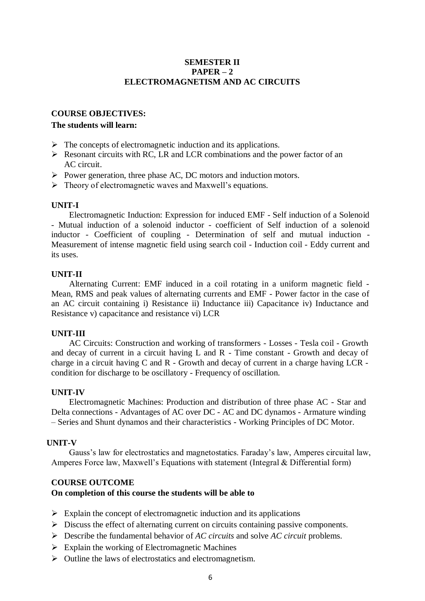## **SEMESTER II PAPER – 2 ELECTROMAGNETISM AND AC CIRCUITS**

### **COURSE OBJECTIVES:**

### **The students will learn:**

- $\triangleright$  The concepts of electromagnetic induction and its applications.
- $\triangleright$  Resonant circuits with RC, LR and LCR combinations and the power factor of an AC circuit.
- $\triangleright$  Power generation, three phase AC, DC motors and induction motors.
- $\triangleright$  Theory of electromagnetic waves and Maxwell's equations.

### **UNIT-I**

Electromagnetic Induction: Expression for induced EMF - Self induction of a Solenoid - Mutual induction of a solenoid inductor - coefficient of Self induction of a solenoid inductor - Coefficient of coupling - Determination of self and mutual induction - Measurement of intense magnetic field using search coil - Induction coil - Eddy current and its uses.

### **UNIT-II**

Alternating Current: EMF induced in a coil rotating in a uniform magnetic field - Mean, RMS and peak values of alternating currents and EMF - Power factor in the case of an AC circuit containing i) Resistance ii) Inductance iii) Capacitance iv) Inductance and Resistance v) capacitance and resistance vi) LCR

#### **UNIT-III**

AC Circuits: Construction and working of transformers - Losses - Tesla coil - Growth and decay of current in a circuit having L and R - Time constant - Growth and decay of charge in a circuit having C and R - Growth and decay of current in a charge having LCR condition for discharge to be oscillatory - Frequency of oscillation.

#### **UNIT-IV**

Electromagnetic Machines: Production and distribution of three phase AC - Star and Delta connections - Advantages of AC over DC - AC and DC dynamos - Armature winding – Series and Shunt dynamos and their characteristics - Working Principles of DC Motor.

#### **UNIT-V**

Gauss's law for electrostatics and magnetostatics. Faraday's law, Amperes circuital law, Amperes Force law, Maxwell's Equations with statement (Integral & Differential form)

#### **COURSE OUTCOME**

#### **On completion of this course the students will be able to**

- $\triangleright$  Explain the concept of electromagnetic induction and its applications
- $\triangleright$  Discuss the effect of alternating current on circuits containing passive components.
- Describe the fundamental behavior of *AC circuits* and solve *AC circuit* problems.
- $\triangleright$  Explain the working of Electromagnetic Machines
- $\triangleright$  Outline the laws of electrostatics and electromagnetism.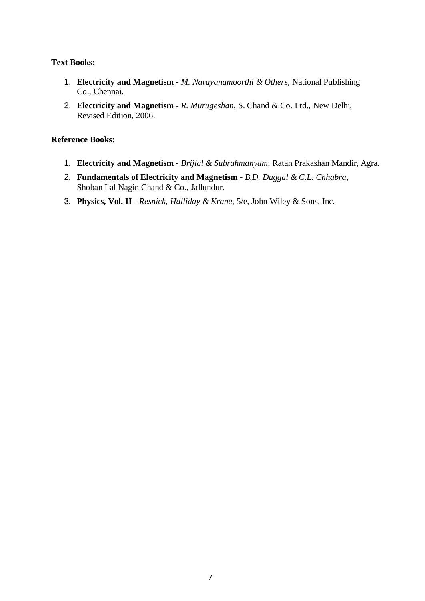## **Text Books:**

- 1. **Electricity and Magnetism -** *M. Narayanamoorthi & Others*, National Publishing Co., Chennai.
- 2. **Electricity and Magnetism -** *R. Murugeshan*, S. Chand & Co. Ltd., New Delhi, Revised Edition, 2006.

- 1. **Electricity and Magnetism -** *Brijlal & Subrahmanyam*, Ratan Prakashan Mandir, Agra.
- 2. **Fundamentals of Electricity and Magnetism -** *B.D. Duggal & C.L. Chhabra*, Shoban Lal Nagin Chand & Co., Jallundur.
- 3. **Physics, Vol. II -** *Resnick, Halliday & Krane*, 5/e, John Wiley & Sons, Inc.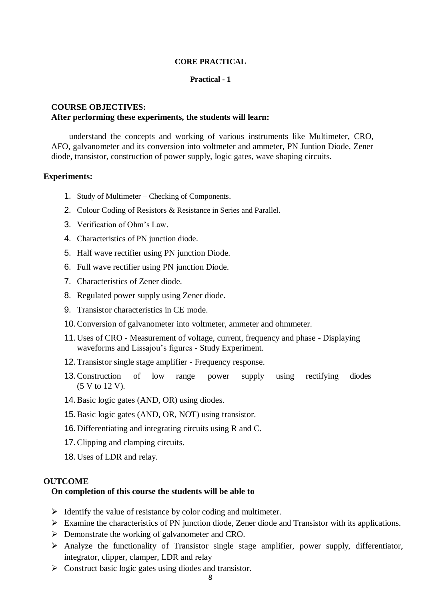#### **CORE PRACTICAL**

#### **Practical - 1**

## **COURSE OBJECTIVES: After performing these experiments, the students will learn:**

understand the concepts and working of various instruments like Multimeter, CRO, AFO, galvanometer and its conversion into voltmeter and ammeter, PN Juntion Diode, Zener diode, transistor, construction of power supply, logic gates, wave shaping circuits.

#### **Experiments:**

- 1. Study of Multimeter Checking of Components.
- 2. Colour Coding of Resistors & Resistance in Series and Parallel.
- 3. Verification of Ohm's Law.
- 4. Characteristics of PN junction diode.
- 5. Half wave rectifier using PN junction Diode.
- 6. Full wave rectifier using PN junction Diode.
- 7. Characteristics of Zener diode.
- 8. Regulated power supply using Zener diode.
- 9. Transistor characteristics in CE mode.
- 10.Conversion of galvanometer into voltmeter, ammeter and ohmmeter.
- 11.Uses of CRO Measurement of voltage, current, frequency and phase Displaying waveforms and Lissajou's figures - Study Experiment.
- 12.Transistor single stage amplifier Frequency response.
- 13.Construction of low range power supply using rectifying diodes (5 V to 12 V).
- 14.Basic logic gates (AND, OR) using diodes.
- 15.Basic logic gates (AND, OR, NOT) using transistor.
- 16.Differentiating and integrating circuits using R and C.
- 17.Clipping and clamping circuits.
- 18.Uses of LDR and relay.

#### **OUTCOME**

#### **On completion of this course the students will be able to**

- $\triangleright$  Identify the value of resistance by color coding and multimeter.
- $\triangleright$  Examine the characteristics of PN junction diode, Zener diode and Transistor with its applications.
- **Demonstrate the working of galvanometer and CRO.**
- Analyze the functionality of Transistor single stage amplifier, power supply, differentiator, integrator, clipper, clamper, LDR and relay
- $\triangleright$  Construct basic logic gates using diodes and transistor.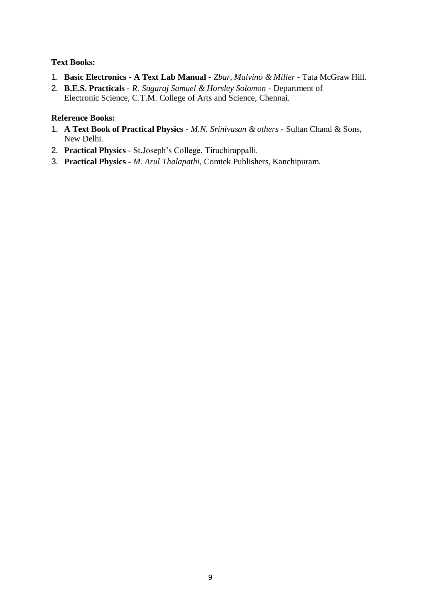## **Text Books:**

- 1. **Basic Electronics - A Text Lab Manual -** *Zbar, Malvino & Miller -* Tata McGraw Hill.
- 2. **B.E.S. Practicals -** *R. Sugaraj Samuel & Horsley Solomon*  Department of Electronic Science, C.T.M. College of Arts and Science, Chennai.

- 1. **A Text Book of Practical Physics -** *M.N. Srinivasan & others -* Sultan Chand & Sons, New Delhi.
- 2. **Practical Physics -** St.Joseph's College, Tiruchirappalli.
- 3. **Practical Physics -** *M. Arul Thalapathi*, Comtek Publishers, Kanchipuram.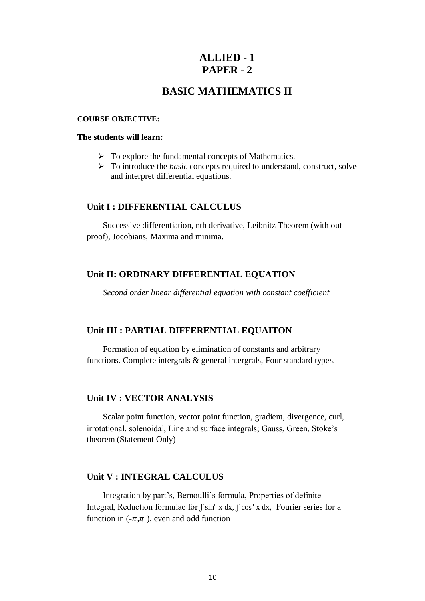# **ALLIED - 1 PAPER - 2**

# **BASIC MATHEMATICS II**

#### **COURSE OBJECTIVE:**

### **The students will learn:**

- $\triangleright$  To explore the fundamental concepts of Mathematics.
- To introduce the *basic* concepts required to understand, construct, solve and interpret differential equations.

### **Unit I : DIFFERENTIAL CALCULUS**

Successive differentiation, nth derivative, Leibnitz Theorem (with out proof), Jocobians, Maxima and minima.

## **Unit II: ORDINARY DIFFERENTIAL EQUATION**

*Second order linear differential equation with constant coefficient*

#### **Unit III : PARTIAL DIFFERENTIAL EQUAITON**

Formation of equation by elimination of constants and arbitrary functions. Complete intergrals & general intergrals, Four standard types.

## **Unit IV : VECTOR ANALYSIS**

Scalar point function, vector point function, gradient, divergence, curl, irrotational, solenoidal, Line and surface integrals; Gauss, Green, Stoke's theorem (Statement Only)

## **Unit V : INTEGRAL CALCULUS**

Integration by part's, Bernoulli's formula, Properties of definite Integral, Reduction formulae for  $\int \sin^n x \, dx$ ,  $\int \cos^n x \, dx$ , Fourier series for a function in  $(-\pi, \pi)$ , even and odd function